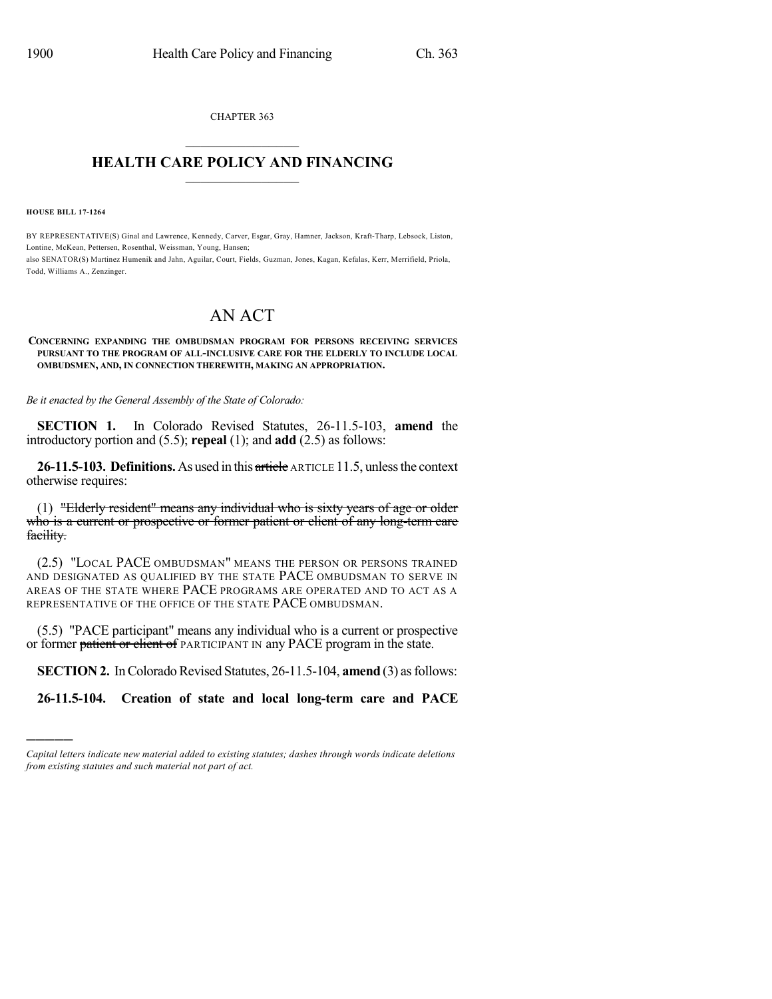CHAPTER 363  $\mathcal{L}_\text{max}$  . The set of the set of the set of the set of the set of the set of the set of the set of the set of the set of the set of the set of the set of the set of the set of the set of the set of the set of the set

## **HEALTH CARE POLICY AND FINANCING**  $\_$   $\_$   $\_$   $\_$   $\_$   $\_$   $\_$   $\_$

**HOUSE BILL 17-1264**

)))))

BY REPRESENTATIVE(S) Ginal and Lawrence, Kennedy, Carver, Esgar, Gray, Hamner, Jackson, Kraft-Tharp, Lebsock, Liston, Lontine, McKean, Pettersen, Rosenthal, Weissman, Young, Hansen; also SENATOR(S) Martinez Humenik and Jahn, Aguilar, Court, Fields, Guzman, Jones, Kagan, Kefalas, Kerr, Merrifield, Priola, Todd, Williams A., Zenzinger.

## AN ACT

## **CONCERNING EXPANDING THE OMBUDSMAN PROGRAM FOR PERSONS RECEIVING SERVICES PURSUANT TO THE PROGRAM OF ALL-INCLUSIVE CARE FOR THE ELDERLY TO INCLUDE LOCAL OMBUDSMEN, AND, IN CONNECTION THEREWITH, MAKING AN APPROPRIATION.**

*Be it enacted by the General Assembly of the State of Colorado:*

**SECTION 1.** In Colorado Revised Statutes, 26-11.5-103, **amend** the introductory portion and (5.5); **repeal** (1); and **add** (2.5) as follows:

**26-11.5-103. Definitions.**As used in this article ARTICLE 11.5, unlessthe context otherwise requires:

(1) "Elderly resident" means any individual who is sixty years of age or older who is a current or prospective or former patient or client of any long-term care facility.

(2.5) "LOCAL PACE OMBUDSMAN" MEANS THE PERSON OR PERSONS TRAINED AND DESIGNATED AS QUALIFIED BY THE STATE PACE OMBUDSMAN TO SERVE IN AREAS OF THE STATE WHERE PACE PROGRAMS ARE OPERATED AND TO ACT AS A REPRESENTATIVE OF THE OFFICE OF THE STATE PACE OMBUDSMAN.

(5.5) "PACE participant" means any individual who is a current or prospective or former patient or client of PARTICIPANT IN any PACE program in the state.

**SECTION 2.** In Colorado Revised Statutes, 26-11.5-104, **amend** (3) as follows:

**26-11.5-104. Creation of state and local long-term care and PACE**

*Capital letters indicate new material added to existing statutes; dashes through words indicate deletions from existing statutes and such material not part of act.*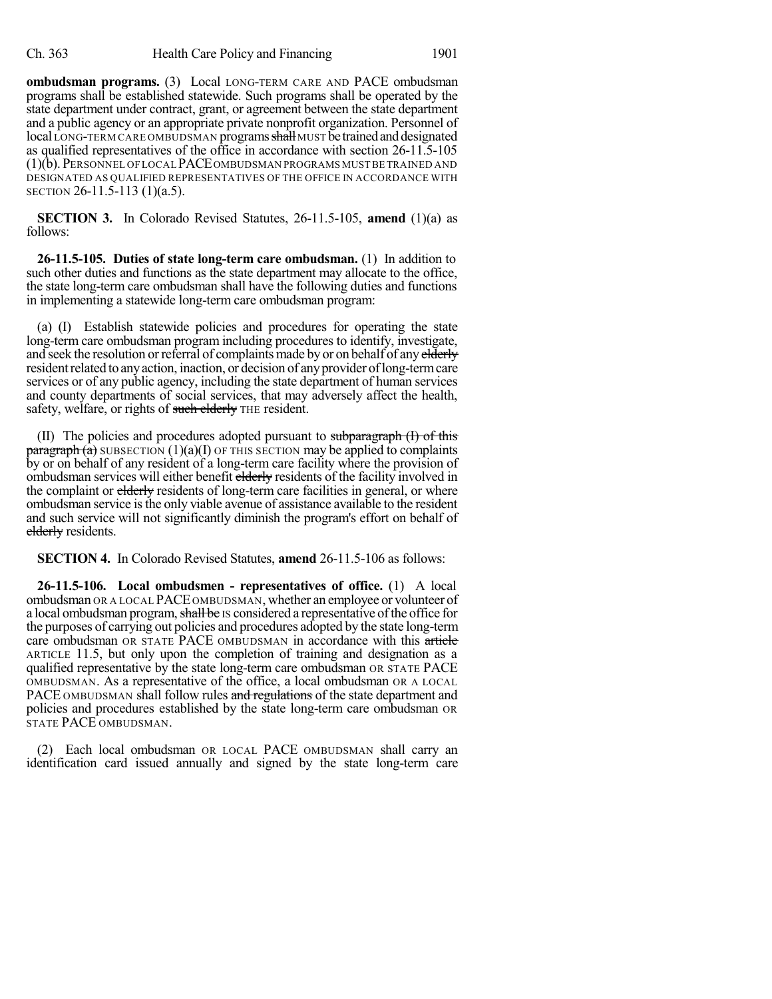**ombudsman programs.** (3) Local LONG-TERM CARE AND PACE ombudsman programs shall be established statewide. Such programs shall be operated by the state department under contract, grant, or agreement between the state department and a public agency or an appropriate private nonprofit organization. Personnel of local LONG-TERM CARE OMBUDSMAN programs shall MUST be trained and designated as qualified representatives of the office in accordance with section 26-11.5-105 (1)(b). PERSONNEL OFLOCAL PACEOMBUDSMAN PROGRAMS MUST BE TRAINED AND DESIGNATED AS QUALIFIED REPRESENTATIVES OF THE OFFICE IN ACCORDANCE WITH SECTION 26-11.5-113 (1)(a.5).

**SECTION 3.** In Colorado Revised Statutes, 26-11.5-105, **amend** (1)(a) as follows:

**26-11.5-105. Duties of state long-term care ombudsman.** (1) In addition to such other duties and functions as the state department may allocate to the office, the state long-term care ombudsman shall have the following duties and functions in implementing a statewide long-term care ombudsman program:

(a) (I) Establish statewide policies and procedures for operating the state long-term care ombudsman program including procedures to identify, investigate, and seek the resolution or referral of complaints made by or on behalf of any elderly resident related to any action, inaction, or decision of any provider of long-term care services or of any public agency, including the state department of human services and county departments of social services, that may adversely affect the health, safety, welfare, or rights of such elderly THE resident.

(II) The policies and procedures adopted pursuant to subparagraph (I) of this  $\frac{\text{pargraph (a)}}{\text{subSECTION (1)(a)(I)}}$  OF THIS SECTION may be applied to complaints by or on behalf of any resident of a long-term care facility where the provision of ombudsman services will either benefit elderly residents of the facility involved in the complaint or elderly residents of long-term care facilities in general, or where ombudsman service is the only viable avenue of assistance available to the resident and such service will not significantly diminish the program's effort on behalf of elderly residents.

**SECTION 4.** In Colorado Revised Statutes, **amend** 26-11.5-106 as follows:

**26-11.5-106. Local ombudsmen - representatives of office.** (1) A local ombudsman OR A LOCAL PACE OMBUDSMAN, whether an employee or volunteer of a local ombudsman program, shall be IS considered a representative of the office for the purposes of carrying out policies and procedures adopted by the state long-term care ombudsman OR STATE PACE OMBUDSMAN in accordance with this article ARTICLE 11.5, but only upon the completion of training and designation as a qualified representative by the state long-term care ombudsman OR STATE PACE OMBUDSMAN. As a representative of the office, a local ombudsman OR A LOCAL PACE OMBUDSMAN shall follow rules and regulations of the state department and policies and procedures established by the state long-term care ombudsman OR STATE PACE OMBUDSMAN.

(2) Each local ombudsman OR LOCAL PACE OMBUDSMAN shall carry an identification card issued annually and signed by the state long-term care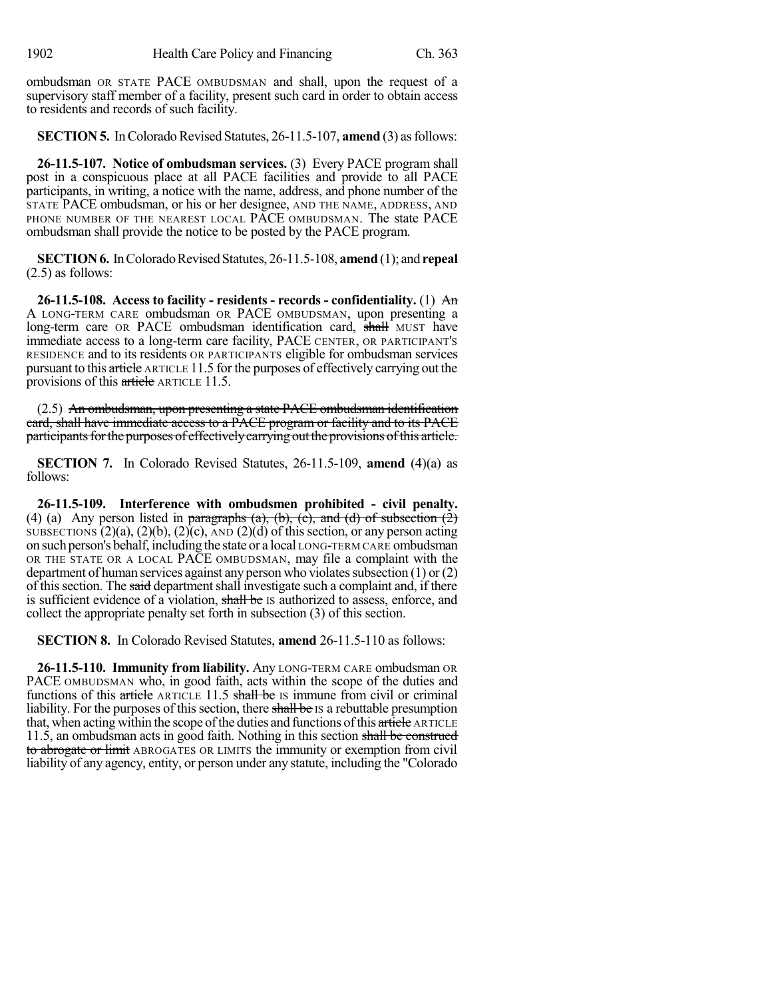ombudsman OR STATE PACE OMBUDSMAN and shall, upon the request of a supervisory staff member of a facility, present such card in order to obtain access to residents and records of such facility.

**SECTION 5.** In Colorado Revised Statutes, 26-11.5-107, **amend** (3) as follows:

**26-11.5-107. Notice of ombudsman services.** (3) Every PACE program shall post in a conspicuous place at all PACE facilities and provide to all PACE participants, in writing, a notice with the name, address, and phone number of the STATE PACE ombudsman, or his or her designee, AND THE NAME, ADDRESS, AND PHONE NUMBER OF THE NEAREST LOCAL PACE OMBUDSMAN. The state PACE ombudsman shall provide the notice to be posted by the PACE program.

**SECTION 6.** In Colorado Revised Statutes, 26-11.5-108, **amend** (1); and **repeal** (2.5) as follows:

**26-11.5-108. Access to facility - residents - records - confidentiality.** (1) An A LONG-TERM CARE ombudsman OR PACE OMBUDSMAN, upon presenting a long-term care OR PACE ombudsman identification card, shall MUST have immediate access to a long-term care facility, PACE CENTER, OR PARTICIPANT'S RESIDENCE and to its residents OR PARTICIPANTS eligible for ombudsman services pursuant to this article ARTICLE 11.5 for the purposes of effectively carrying out the provisions of this article ARTICLE 11.5.

(2.5) An ombudsman, upon presenting a state PACE ombudsman identification card, shall have immediate access to a PACE program or facility and to its PACE participants for the purposes of effectively carrying out the provisions of this article.

**SECTION 7.** In Colorado Revised Statutes, 26-11.5-109, **amend** (4)(a) as follows:

**26-11.5-109. Interference with ombudsmen prohibited - civil penalty.** (4) (a) Any person listed in paragraphs (a), (b), (c), and (d) of subsection  $(\dot{2})$ SUBSECTIONS  $(2)(a)$ ,  $(2)(b)$ ,  $(2)(c)$ , AND  $(2)(d)$  of this section, or any person acting on such person's behalf, including the state or a local LONG-TERM CARE ombudsman OR THE STATE OR A LOCAL PACE OMBUDSMAN, may file a complaint with the department of human services against any person who violates subsection  $(1)$  or  $(2)$ of this section. The said department shall investigate such a complaint and, if there is sufficient evidence of a violation, shall be IS authorized to assess, enforce, and collect the appropriate penalty set forth in subsection (3) of this section.

**SECTION 8.** In Colorado Revised Statutes, **amend** 26-11.5-110 as follows:

**26-11.5-110. Immunity from liability.** Any LONG-TERM CARE ombudsman OR PACE OMBUDSMAN who, in good faith, acts within the scope of the duties and functions of this article ARTICLE 11.5 shall be IS immune from civil or criminal liability. For the purposes of this section, there shall be IS a rebuttable presumption that, when acting within the scope of the duties and functions of this article ARTICLE 11.5, an ombudsman acts in good faith. Nothing in this section shall be construed to abrogate or limit ABROGATES OR LIMITS the immunity or exemption from civil liability of any agency, entity, or person under any statute, including the "Colorado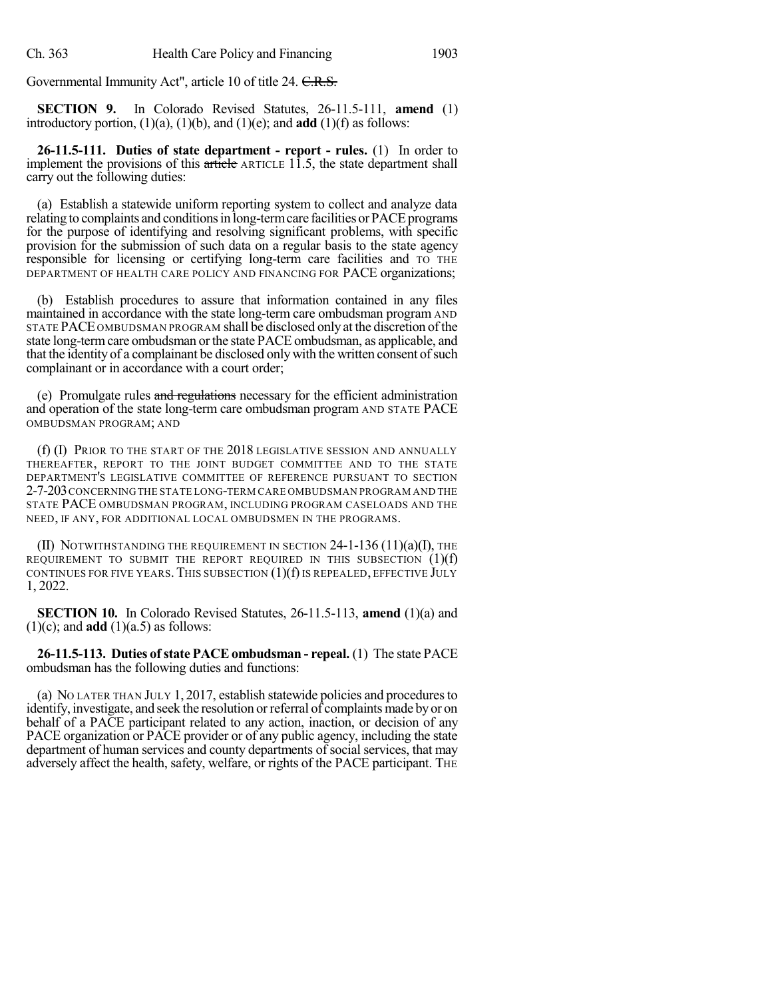Governmental Immunity Act", article 10 of title 24. C.R.S.

**SECTION 9.** In Colorado Revised Statutes, 26-11.5-111, **amend** (1) introductory portion, (1)(a), (1)(b), and (1)(e); and **add** (1)(f) as follows:

**26-11.5-111. Duties of state department - report - rules.** (1) In order to implement the provisions of this article ARTICLE 11.5, the state department shall carry out the following duties:

(a) Establish a statewide uniform reporting system to collect and analyze data relating to complaints and conditions in long-term care facilities or PACE programs for the purpose of identifying and resolving significant problems, with specific provision for the submission of such data on a regular basis to the state agency responsible for licensing or certifying long-term care facilities and TO THE DEPARTMENT OF HEALTH CARE POLICY AND FINANCING FOR PACE organizations;

(b) Establish procedures to assure that information contained in any files maintained in accordance with the state long-term care ombudsman program AND STATE PACE OMBUDSMAN PROGRAM shall be disclosed only at the discretion ofthe state long-term care ombudsman or the state PACE ombudsman, as applicable, and that the identity of a complainant be disclosed only with the written consent of such complainant or in accordance with a court order;

(e) Promulgate rules and regulations necessary for the efficient administration and operation of the state long-term care ombudsman program AND STATE PACE OMBUDSMAN PROGRAM; AND

(f) (I) PRIOR TO THE START OF THE 2018 LEGISLATIVE SESSION AND ANNUALLY THEREAFTER, REPORT TO THE JOINT BUDGET COMMITTEE AND TO THE STATE DEPARTMENT'S LEGISLATIVE COMMITTEE OF REFERENCE PURSUANT TO SECTION 2-7-203 CONCERNING THE STATE LONG-TERM CARE OMBUDSMAN PROGRAM AND THE STATE PACE OMBUDSMAN PROGRAM, INCLUDING PROGRAM CASELOADS AND THE NEED, IF ANY, FOR ADDITIONAL LOCAL OMBUDSMEN IN THE PROGRAMS.

(II) NOTWITHSTANDING THE REQUIREMENT IN SECTION  $24$ -1-136 (11)(a)(I), THE REQUIREMENT TO SUBMIT THE REPORT REQUIRED IN THIS SUBSECTION  $(1)(f)$ CONTINUES FOR FIVE YEARS. THIS SUBSECTION  $(1)(f)$  is repealed, effective July 1, 2022.

**SECTION 10.** In Colorado Revised Statutes, 26-11.5-113, **amend** (1)(a) and  $(1)(c)$ ; and **add**  $(1)(a.5)$  as follows:

**26-11.5-113. Duties ofstate PACEombudsman - repeal.** (1) The state PACE ombudsman has the following duties and functions:

(a) NO LATER THAN JULY 1, 2017, establish statewide policies and proceduresto identify, investigate, and seek the resolution orreferral of complaints made byor on behalf of a PACE participant related to any action, inaction, or decision of any PACE organization or PACE provider or of any public agency, including the state department of human services and county departments of social services, that may adversely affect the health, safety, welfare, or rights of the PACE participant. THE